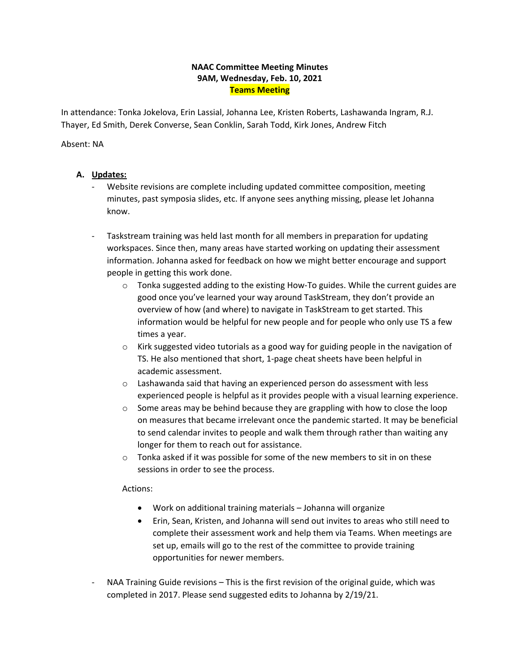### **NAAC Committee Meeting Minutes 9AM, Wednesday, Feb. 10, 2021 Teams Meeting**

 Thayer, Ed Smith, Derek Converse, Sean Conklin, Sarah Todd, Kirk Jones, Andrew Fitch In attendance: Tonka Jokelova, Erin Lassial, Johanna Lee, Kristen Roberts, Lashawanda Ingram, R.J.

#### Absent: NA

# **A. Updates:**

- minutes, past symposia slides, etc. If anyone sees anything missing, please let Johanna Website revisions are complete including updated committee composition, meeting know.
- - Taskstream training was held last month for all members in preparation for updating workspaces. Since then, many areas have started working on updating their assessment information. Johanna asked for feedback on how we might better encourage and support people in getting this work done.
	- o Tonka suggested adding to the existing How-To guides. While the current guides are information would be helpful for new people and for people who only use TS a few good once you've learned your way around TaskStream, they don't provide an overview of how (and where) to navigate in TaskStream to get started. This times a year.
	- $\circ$  Kirk suggested video tutorials as a good way for guiding people in the navigation of TS. He also mentioned that short, 1-page cheat sheets have been helpful in academic assessment.
	- o Lashawanda said that having an experienced person do assessment with less experienced people is helpful as it provides people with a visual learning experience.
	- on measures that became irrelevant once the pandemic started. It may be beneficial longer for them to reach out for assistance. o Some areas may be behind because they are grappling with how to close the loop to send calendar invites to people and walk them through rather than waiting any
	- $\circ$  Tonka asked if it was possible for some of the new members to sit in on these sessions in order to see the process.

### Actions:

- Work on additional training materials Johanna will organize
- • Erin, Sean, Kristen, and Johanna will send out invites to areas who still need to set up, emails will go to the rest of the committee to provide training complete their assessment work and help them via Teams. When meetings are opportunities for newer members.
- completed in 2017. Please send suggested edits to Johanna by 2/19/21. NAA Training Guide revisions – This is the first revision of the original guide, which was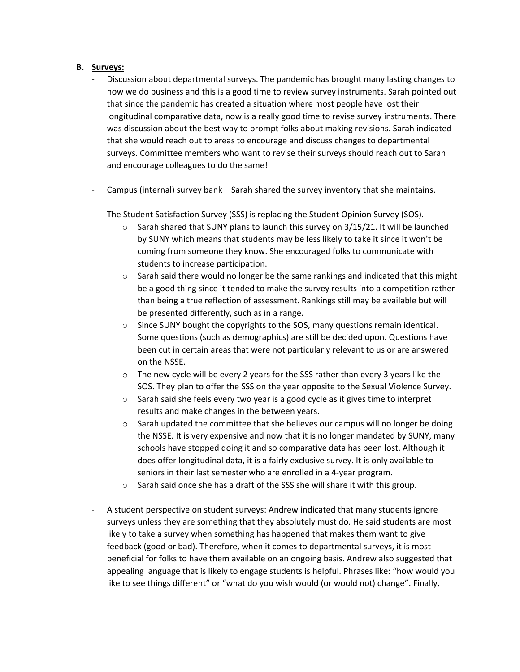### **B. Surveys:**

- - Discussion about departmental surveys. The pandemic has brought many lasting changes to how we do business and this is a good time to review survey instruments. Sarah pointed out longitudinal comparative data, now is a really good time to revise survey instruments. There that since the pandemic has created a situation where most people have lost their was discussion about the best way to prompt folks about making revisions. Sarah indicated that she would reach out to areas to encourage and discuss changes to departmental surveys. Committee members who want to revise their surveys should reach out to Sarah and encourage colleagues to do the same!
- Campus (internal) survey bank Sarah shared the survey inventory that she maintains.
- The Student Satisfaction Survey (SSS) is replacing the Student Opinion Survey (SOS).
	- o Sarah shared that SUNY plans to launch this survey on 3/15/21. It will be launched by SUNY which means that students may be less likely to take it since it won't be coming from someone they know. She encouraged folks to communicate with students to increase participation.
	- be a good thing since it tended to make the survey results into a competition rather  $\circ$  Sarah said there would no longer be the same rankings and indicated that this might than being a true reflection of assessment. Rankings still may be available but will be presented differently, such as in a range.
	- been cut in certain areas that were not particularly relevant to us or are answered o Since SUNY bought the copyrights to the SOS, many questions remain identical. Some questions (such as demographics) are still be decided upon. Questions have on the NSSE.
	- $\circ$  The new cycle will be every 2 years for the SSS rather than every 3 years like the SOS. They plan to offer the SSS on the year opposite to the Sexual Violence Survey.
	- $\circ$  Sarah said she feels every two year is a good cycle as it gives time to interpret results and make changes in the between years.
	- $\circ$  Sarah updated the committee that she believes our campus will no longer be doing the NSSE. It is very expensive and now that it is no longer mandated by SUNY, many schools have stopped doing it and so comparative data has been lost. Although it does offer longitudinal data, it is a fairly exclusive survey. It is only available to seniors in their last semester who are enrolled in a 4-year program.
	- o Sarah said once she has a draft of the SSS she will share it with this group.
- likely to take a survey when something has happened that makes them want to give beneficial for folks to have them available on an ongoing basis. Andrew also suggested that appealing language that is likely to engage students is helpful. Phrases like: "how would you like to see things different" or "what do you wish would (or would not) change". Finally, - A student perspective on student surveys: Andrew indicated that many students ignore surveys unless they are something that they absolutely must do. He said students are most feedback (good or bad). Therefore, when it comes to departmental surveys, it is most